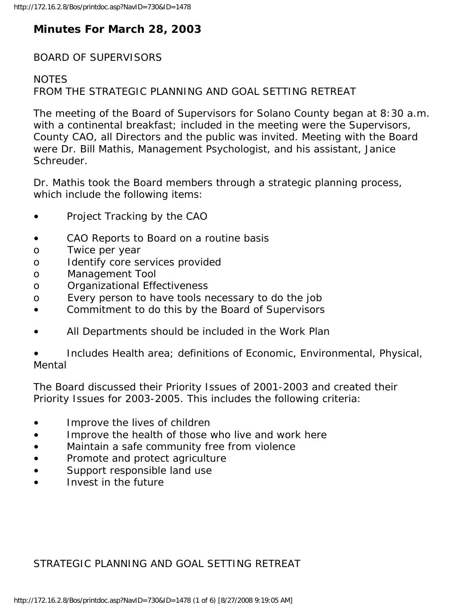# **Minutes For March 28, 2003**

### BOARD OF SUPERVISORS

### **NOTES**

FROM THE STRATEGIC PLANNING AND GOAL SETTING RETREAT

The meeting of the Board of Supervisors for Solano County began at 8:30 a.m. with a continental breakfast; included in the meeting were the Supervisors, County CAO, all Directors and the public was invited. Meeting with the Board were Dr. Bill Mathis, Management Psychologist, and his assistant, Janice Schreuder.

Dr. Mathis took the Board members through a strategic planning process, which include the following items:

- Project Tracking by the CAO
- CAO Reports to Board on a routine basis
- o Twice per year
- o Identify core services provided
- o Management Tool
- o Organizational Effectiveness
- o Every person to have tools necessary to do the job
- Commitment to do this by the Board of Supervisors
- All Departments should be included in the Work Plan

• Includes Health area; definitions of Economic, Environmental, Physical, Mental

The Board discussed their Priority Issues of 2001-2003 and created their Priority Issues for 2003-2005. This includes the following criteria:

- Improve the lives of children
- Improve the health of those who live and work here
- Maintain a safe community free from violence
- Promote and protect agriculture
- Support responsible land use
- Invest in the future

## STRATEGIC PLANNING AND GOAL SETTING RETREAT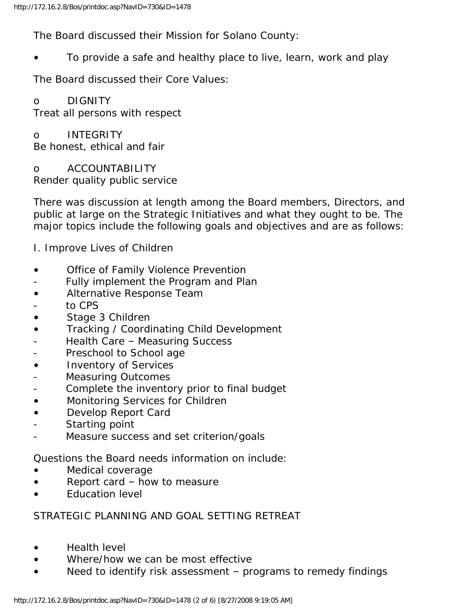The Board discussed their Mission for Solano County:

• To provide a safe and healthy place to live, learn, work and play

The Board discussed their Core Values:

## o DIGNITY

Treat all persons with respect

#### o INTEGRITY Be honest, ethical and fair

o ACCOUNTABILITY Render quality public service

There was discussion at length among the Board members, Directors, and public at large on the Strategic Initiatives and what they ought to be. The major topics include the following goals and objectives and are as follows:

I. Improve Lives of Children

- Office of Family Violence Prevention
- Fully implement the Program and Plan
- Alternative Response Team
- to CPS
- Stage 3 Children
- Tracking / Coordinating Child Development
- Health Care Measuring Success
- Preschool to School age
- Inventory of Services
- Measuring Outcomes
- Complete the inventory prior to final budget
- Monitoring Services for Children
- Develop Report Card
- Starting point
- Measure success and set criterion/goals

Questions the Board needs information on include:

- Medical coverage
- Report card how to measure
- **Education level**

### STRATEGIC PLANNING AND GOAL SETTING RETREAT

- Health level
- Where/how we can be most effective
- Need to identify risk assessment programs to remedy findings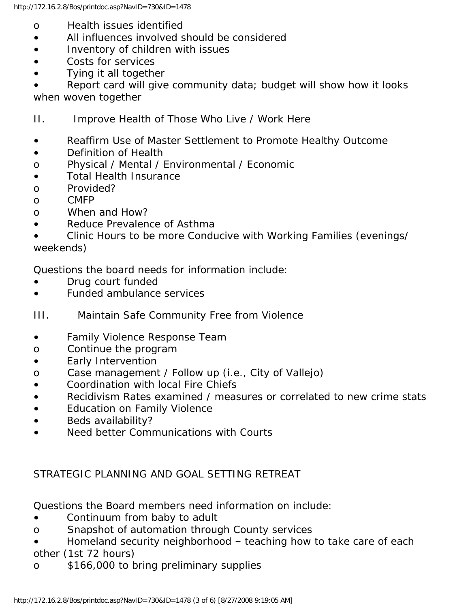- o Health issues identified
- All influences involved should be considered
- Inventory of children with issues
- Costs for services
- Tying it all together

• Report card will give community data; budget will show how it looks when woven together

- II. Improve Health of Those Who Live / Work Here
- Reaffirm Use of Master Settlement to Promote Healthy Outcome
- Definition of Health
- o Physical / Mental / Environmental / Economic
- Total Health Insurance
- o Provided?
- o CMFP
- o When and How?
- Reduce Prevalence of Asthma
- Clinic Hours to be more Conducive with Working Families (evenings/ weekends)

Questions the board needs for information include:

- Drug court funded
- Funded ambulance services
- III. Maintain Safe Community Free from Violence
- Family Violence Response Team
- o Continue the program
- Early Intervention
- o Case management / Follow up (i.e., City of Vallejo)
- Coordination with local Fire Chiefs
- Recidivism Rates examined / measures or correlated to new crime stats
- Education on Family Violence
- Beds availability?
- Need better Communications with Courts

## STRATEGIC PLANNING AND GOAL SETTING RETREAT

Questions the Board members need information on include:

- Continuum from baby to adult
- o Snapshot of automation through County services
- Homeland security neighborhood teaching how to take care of each other (1st 72 hours)
- o \$166,000 to bring preliminary supplies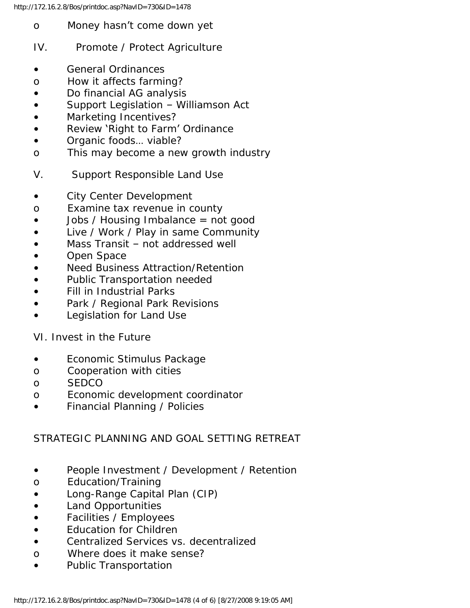- o Money hasn't come down yet
- IV. Promote / Protect Agriculture
- General Ordinances
- o How it affects farming?
- Do financial AG analysis
- Support Legislation Williamson Act
- Marketing Incentives?
- Review 'Right to Farm' Ordinance
- Organic foods... viable?
- o This may become a new growth industry
- V. Support Responsible Land Use
- City Center Development
- o Examine tax revenue in county
- Jobs / Housing Imbalance = not good
- Live / Work / Play in same Community
- Mass Transit not addressed well
- Open Space
- Need Business Attraction/Retention
- Public Transportation needed
- Fill in Industrial Parks
- Park / Regional Park Revisions
- Legislation for Land Use

VI. Invest in the Future

- Economic Stimulus Package
- o Cooperation with cities
- o SEDCO
- o Economic development coordinator
- Financial Planning / Policies

### STRATEGIC PLANNING AND GOAL SETTING RETREAT

- People Investment / Development / Retention
- o Education/Training
- Long-Range Capital Plan (CIP)
- Land Opportunities
- Facilities / Employees
- Education for Children
- Centralized Services vs. decentralized
- o Where does it make sense?
- Public Transportation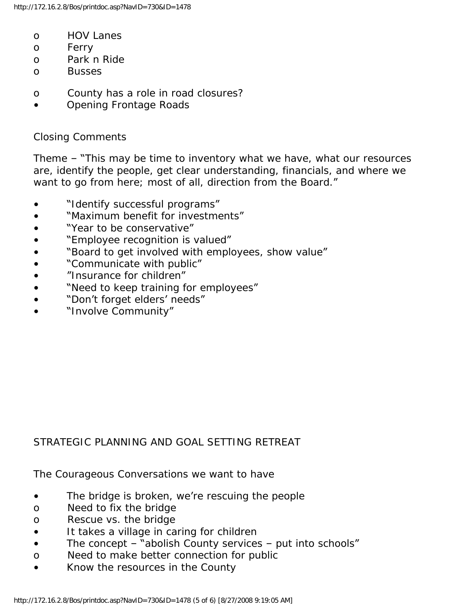- o HOV Lanes
- o Ferry
- o Park n Ride
- o Busses
- o County has a role in road closures?
- Opening Frontage Roads

#### Closing Comments

Theme – "This may be time to inventory what we have, what our resources are, identify the people, get clear understanding, financials, and where we want to go from here; most of all, direction from the Board."

- "Identify successful programs"
- "Maximum benefit for investments"
- "Year to be conservative"
- "Employee recognition is valued"
- "Board to get involved with employees, show value"
- "Communicate with public"
- "Insurance for children"
- "Need to keep training for employees"
- "Don't forget elders' needs"
- "Involve Community"

### STRATEGIC PLANNING AND GOAL SETTING RETREAT

The Courageous Conversations we want to have

- The bridge is broken, we're rescuing the people
- o Need to fix the bridge
- o Rescue vs. the bridge
- It takes a village in caring for children
- The concept  $-\sqrt[n]{a}$  abolish County services  $-\sqrt[n]{b}$  put into schools"
- o Need to make better connection for public
- Know the resources in the County